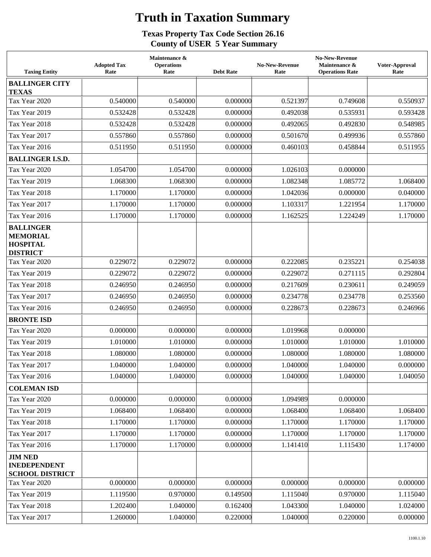## **Truth in Taxation Summary**

## **Texas Property Tax Code Section 26.16 County of USER 5 Year Summary**

| <b>Taxing Entity</b>                                                      | <b>Adopted Tax</b><br>Rate | Maintenance &<br><b>Operations</b><br>Rate | <b>Debt Rate</b> | <b>No-New-Revenue</b><br>Rate | <b>No-New-Revenue</b><br>Maintenance &<br><b>Operations Rate</b> | Voter-Approval<br>Rate |
|---------------------------------------------------------------------------|----------------------------|--------------------------------------------|------------------|-------------------------------|------------------------------------------------------------------|------------------------|
| <b>BALLINGER CITY</b><br><b>TEXAS</b>                                     |                            |                                            |                  |                               |                                                                  |                        |
| Tax Year 2020                                                             | 0.540000                   | 0.540000                                   | 0.000000         | 0.521397                      | 0.749608                                                         | 0.550937               |
| Tax Year 2019                                                             | 0.532428                   | 0.532428                                   | 0.000000         | 0.492038                      | 0.535931                                                         | 0.593428               |
| Tax Year 2018                                                             | 0.532428                   | 0.532428                                   | 0.000000         | 0.492065                      | 0.492830                                                         | 0.548985               |
| Tax Year 2017                                                             | 0.557860                   | 0.557860                                   | 0.000000         | 0.501670                      | 0.499936                                                         | 0.557860               |
| Tax Year 2016                                                             | 0.511950                   | 0.511950                                   | 0.000000         | 0.460103                      | 0.458844                                                         | 0.511955               |
| <b>BALLINGER I.S.D.</b>                                                   |                            |                                            |                  |                               |                                                                  |                        |
| Tax Year 2020                                                             | 1.054700                   | 1.054700                                   | 0.000000         | 1.026103                      | 0.000000                                                         |                        |
| Tax Year 2019                                                             | 1.068300                   | 1.068300                                   | 0.000000         | 1.082348                      | 1.085772                                                         | 1.068400               |
| Tax Year 2018                                                             | 1.170000                   | 1.170000                                   | 0.000000         | 1.042036                      | 0.000000                                                         | 0.040000               |
| Tax Year 2017                                                             | 1.170000                   | 1.170000                                   | 0.000000         | 1.103317                      | 1.221954                                                         | 1.170000               |
| Tax Year 2016                                                             | 1.170000                   | 1.170000                                   | 0.000000         | 1.162525                      | 1.224249                                                         | 1.170000               |
| <b>BALLINGER</b><br><b>MEMORIAL</b><br><b>HOSPITAL</b><br><b>DISTRICT</b> |                            |                                            |                  |                               |                                                                  |                        |
| Tax Year 2020                                                             | 0.229072                   | 0.229072                                   | 0.000000         | 0.222085                      | 0.235221                                                         | 0.254038               |
| Tax Year 2019                                                             | 0.229072                   | 0.229072                                   | 0.000000         | 0.229072                      | 0.271115                                                         | 0.292804               |
| Tax Year 2018                                                             | 0.246950                   | 0.246950                                   | 0.000000         | 0.217609                      | 0.230611                                                         | 0.249059               |
| Tax Year 2017                                                             | 0.246950                   | 0.246950                                   | 0.000000         | 0.234778                      | 0.234778                                                         | 0.253560               |
| Tax Year 2016                                                             | 0.246950                   | 0.246950                                   | 0.000000         | 0.228673                      | 0.228673                                                         | 0.246966               |
| <b>BRONTE ISD</b>                                                         |                            |                                            |                  |                               |                                                                  |                        |
| Tax Year 2020                                                             | 0.000000                   | 0.000000                                   | 0.000000         | 1.019968                      | 0.000000                                                         |                        |
| Tax Year 2019                                                             | 1.010000                   | 1.010000                                   | 0.000000         | 1.010000                      | 1.010000                                                         | 1.010000               |
| Tax Year 2018                                                             | 1.080000                   | 1.080000                                   | 0.000000         | 1.080000                      | 1.080000                                                         | 1.080000               |
| Tax Year 2017                                                             | 1.040000                   | 1.040000                                   | 0.000000         | 1.040000                      | 1.040000                                                         | 0.000000               |
| Tax Year 2016                                                             | 1.040000                   | 1.040000                                   | 0.000000         | 1.040000                      | 1.040000                                                         | 1.040050               |
| <b>COLEMAN ISD</b>                                                        |                            |                                            |                  |                               |                                                                  |                        |
| Tax Year 2020                                                             | 0.000000                   | 0.000000                                   | 0.000000         | 1.094989                      | 0.000000                                                         |                        |
| Tax Year 2019                                                             | 1.068400                   | 1.068400                                   | 0.000000         | 1.068400                      | 1.068400                                                         | 1.068400               |
| Tax Year 2018                                                             | 1.170000                   | 1.170000                                   | 0.000000         | 1.170000                      | 1.170000                                                         | 1.170000               |
| Tax Year 2017                                                             | 1.170000                   | 1.170000                                   | 0.000000         | 1.170000                      | 1.170000                                                         | 1.170000               |
| Tax Year 2016                                                             | 1.170000                   | 1.170000                                   | 0.000000         | 1.141410                      | 1.115430                                                         | 1.174000               |
| <b>JIM NED</b><br><b>INEDEPENDENT</b><br><b>SCHOOL DISTRICT</b>           |                            |                                            |                  |                               |                                                                  |                        |
| Tax Year 2020                                                             | 0.000000                   | 0.000000                                   | 0.000000         | 0.000000                      | 0.000000                                                         | 0.000000               |
| Tax Year 2019                                                             | 1.119500                   | 0.970000                                   | 0.149500         | 1.115040                      | 0.970000                                                         | 1.115040               |
| Tax Year 2018                                                             | 1.202400                   | 1.040000                                   | 0.162400         | 1.043300                      | 1.040000                                                         | 1.024000               |
| Tax Year 2017                                                             | 1.260000                   | 1.040000                                   | 0.220000         | 1.040000                      | 0.220000                                                         | 0.000000               |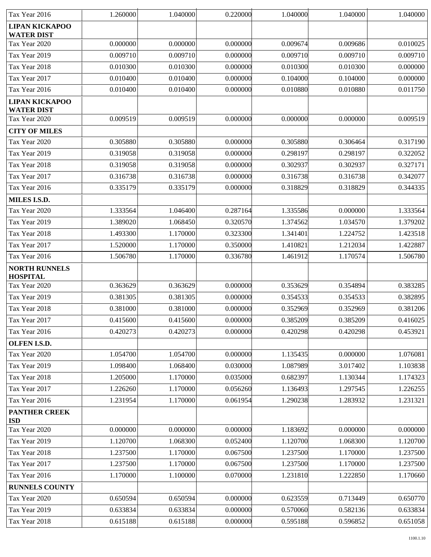| Tax Year 2016                              | 1.260000 | 1.040000 | 0.220000 | 1.040000 | 1.040000 | 1.040000 |
|--------------------------------------------|----------|----------|----------|----------|----------|----------|
| <b>LIPAN KICKAPOO</b><br><b>WATER DIST</b> |          |          |          |          |          |          |
| Tax Year 2020                              | 0.000000 | 0.000000 | 0.000000 | 0.009674 | 0.009686 | 0.010025 |
| Tax Year 2019                              | 0.009710 | 0.009710 | 0.000000 | 0.009710 | 0.009710 | 0.009710 |
| Tax Year 2018                              | 0.010300 | 0.010300 | 0.000000 | 0.010300 | 0.010300 | 0.000000 |
| Tax Year 2017                              | 0.010400 | 0.010400 | 0.000000 | 0.104000 | 0.104000 | 0.000000 |
| Tax Year 2016                              | 0.010400 | 0.010400 | 0.000000 | 0.010880 | 0.010880 | 0.011750 |
| <b>LIPAN KICKAPOO</b><br><b>WATER DIST</b> |          |          |          |          |          |          |
| Tax Year 2020                              | 0.009519 | 0.009519 | 0.000000 | 0.000000 | 0.000000 | 0.009519 |
| <b>CITY OF MILES</b>                       |          |          |          |          |          |          |
| Tax Year 2020                              | 0.305880 | 0.305880 | 0.000000 | 0.305880 | 0.306464 | 0.317190 |
| Tax Year 2019                              | 0.319058 | 0.319058 | 0.000000 | 0.298197 | 0.298197 | 0.322052 |
| Tax Year 2018                              | 0.319058 | 0.319058 | 0.000000 | 0.302937 | 0.302937 | 0.327171 |
| Tax Year 2017                              | 0.316738 | 0.316738 | 0.000000 | 0.316738 | 0.316738 | 0.342077 |
| Tax Year 2016                              | 0.335179 | 0.335179 | 0.000000 | 0.318829 | 0.318829 | 0.344335 |
| <b>MILES I.S.D.</b>                        |          |          |          |          |          |          |
| Tax Year 2020                              | 1.333564 | 1.046400 | 0.287164 | 1.335586 | 0.000000 | 1.333564 |
| Tax Year 2019                              | 1.389020 | 1.068450 | 0.320570 | 1.374562 | 1.034570 | 1.379202 |
| Tax Year 2018                              | 1.493300 | 1.170000 | 0.323300 | 1.341401 | 1.224752 | 1.423518 |
| Tax Year 2017                              | 1.520000 | 1.170000 | 0.350000 | 1.410821 | 1.212034 | 1.422887 |
| Tax Year 2016                              | 1.506780 | 1.170000 | 0.336780 | 1.461912 | 1.170574 | 1.506780 |
| <b>NORTH RUNNELS</b><br><b>HOSPITAL</b>    |          |          |          |          |          |          |
| Tax Year 2020                              | 0.363629 | 0.363629 | 0.000000 | 0.353629 | 0.354894 | 0.383285 |
| Tax Year 2019                              | 0.381305 | 0.381305 | 0.000000 | 0.354533 | 0.354533 | 0.382895 |
| Tax Year 2018                              | 0.381000 | 0.381000 | 0.000000 | 0.352969 | 0.352969 | 0.381206 |
| Tax Year 2017                              | 0.415600 | 0.415600 | 0.000000 | 0.385209 | 0.385209 | 0.416025 |
| Tax Year 2016                              | 0.420273 | 0.420273 | 0.000000 | 0.420298 | 0.420298 | 0.453921 |
| OLFEN I.S.D.                               |          |          |          |          |          |          |
| Tax Year 2020                              | 1.054700 | 1.054700 | 0.000000 | 1.135435 | 0.000000 | 1.076081 |
| Tax Year 2019                              | 1.098400 | 1.068400 | 0.030000 | 1.087989 | 3.017402 | 1.103838 |
| Tax Year 2018                              | 1.205000 | 1.170000 | 0.035000 | 0.682397 | 1.130344 | 1.174323 |
| Tax Year 2017                              | 1.226260 | 1.170000 | 0.056260 | 1.136493 | 1.297545 | 1.226255 |
| Tax Year 2016                              | 1.231954 | 1.170000 | 0.061954 | 1.290238 | 1.283932 | 1.231321 |
| <b>PANTHER CREEK</b><br><b>ISD</b>         |          |          |          |          |          |          |
| Tax Year 2020                              | 0.000000 | 0.000000 | 0.000000 | 1.183692 | 0.000000 | 0.000000 |
| Tax Year 2019                              | 1.120700 | 1.068300 | 0.052400 | 1.120700 | 1.068300 | 1.120700 |
| Tax Year 2018                              | 1.237500 | 1.170000 | 0.067500 | 1.237500 | 1.170000 | 1.237500 |
| Tax Year 2017                              | 1.237500 | 1.170000 | 0.067500 | 1.237500 | 1.170000 | 1.237500 |
| Tax Year 2016                              | 1.170000 | 1.100000 | 0.070000 | 1.231810 | 1.222850 | 1.170660 |
| <b>RUNNELS COUNTY</b>                      |          |          |          |          |          |          |
| Tax Year 2020                              | 0.650594 | 0.650594 | 0.000000 | 0.623559 | 0.713449 | 0.650770 |
| Tax Year 2019                              | 0.633834 | 0.633834 | 0.000000 | 0.570060 | 0.582136 | 0.633834 |
| Tax Year 2018                              | 0.615188 | 0.615188 | 0.000000 | 0.595188 | 0.596852 | 0.651058 |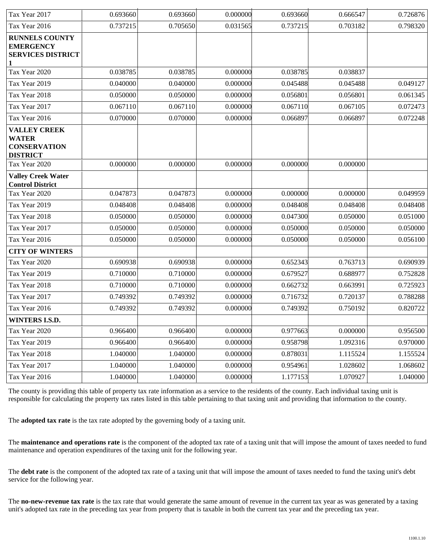| Tax Year 2017                                                                 | 0.693660 | 0.693660 | 0.000000 | 0.693660 | 0.666547 | 0.726876 |
|-------------------------------------------------------------------------------|----------|----------|----------|----------|----------|----------|
| Tax Year 2016                                                                 | 0.737215 | 0.705650 | 0.031565 | 0.737215 | 0.703182 | 0.798320 |
| <b>RUNNELS COUNTY</b><br><b>EMERGENCY</b><br><b>SERVICES DISTRICT</b>         |          |          |          |          |          |          |
| Tax Year 2020                                                                 | 0.038785 | 0.038785 | 0.000000 | 0.038785 | 0.038837 |          |
| Tax Year 2019                                                                 | 0.040000 | 0.040000 | 0.000000 | 0.045488 | 0.045488 | 0.049127 |
| Tax Year 2018                                                                 | 0.050000 | 0.050000 | 0.000000 | 0.056801 | 0.056801 | 0.061345 |
| Tax Year 2017                                                                 | 0.067110 | 0.067110 | 0.000000 | 0.067110 | 0.067105 | 0.072473 |
| Tax Year 2016                                                                 | 0.070000 | 0.070000 | 0.000000 | 0.066897 | 0.066897 | 0.072248 |
| <b>VALLEY CREEK</b><br><b>WATER</b><br><b>CONSERVATION</b><br><b>DISTRICT</b> |          |          |          |          |          |          |
| Tax Year 2020                                                                 | 0.000000 | 0.000000 | 0.000000 | 0.000000 | 0.000000 |          |
| <b>Valley Creek Water</b><br><b>Control District</b>                          |          |          |          |          |          |          |
| Tax Year 2020                                                                 | 0.047873 | 0.047873 | 0.000000 | 0.000000 | 0.000000 | 0.049959 |
| Tax Year 2019                                                                 | 0.048408 | 0.048408 | 0.000000 | 0.048408 | 0.048408 | 0.048408 |
| Tax Year 2018                                                                 | 0.050000 | 0.050000 | 0.000000 | 0.047300 | 0.050000 | 0.051000 |
| Tax Year 2017                                                                 | 0.050000 | 0.050000 | 0.000000 | 0.050000 | 0.050000 | 0.050000 |
| Tax Year 2016                                                                 | 0.050000 | 0.050000 | 0.000000 | 0.050000 | 0.050000 | 0.056100 |
| <b>CITY OF WINTERS</b>                                                        |          |          |          |          |          |          |
| Tax Year 2020                                                                 | 0.690938 | 0.690938 | 0.000000 | 0.652343 | 0.763713 | 0.690939 |
| Tax Year 2019                                                                 | 0.710000 | 0.710000 | 0.000000 | 0.679527 | 0.688977 | 0.752828 |
| Tax Year 2018                                                                 | 0.710000 | 0.710000 | 0.000000 | 0.662732 | 0.663991 | 0.725923 |
| Tax Year 2017                                                                 | 0.749392 | 0.749392 | 0.000000 | 0.716732 | 0.720137 | 0.788288 |
| Tax Year 2016                                                                 | 0.749392 | 0.749392 | 0.000000 | 0.749392 | 0.750192 | 0.820722 |
| WINTERS I.S.D.                                                                |          |          |          |          |          |          |
| Tax Year 2020                                                                 | 0.966400 | 0.966400 | 0.000000 | 0.977663 | 0.000000 | 0.956500 |
| Tax Year 2019                                                                 | 0.966400 | 0.966400 | 0.000000 | 0.958798 | 1.092316 | 0.970000 |
| Tax Year 2018                                                                 | 1.040000 | 1.040000 | 0.000000 | 0.878031 | 1.115524 | 1.155524 |
| Tax Year 2017                                                                 | 1.040000 | 1.040000 | 0.000000 | 0.954961 | 1.028602 | 1.068602 |
| Tax Year 2016                                                                 | 1.040000 | 1.040000 | 0.000000 | 1.177153 | 1.070927 | 1.040000 |

The county is providing this table of property tax rate information as a service to the residents of the county. Each individual taxing unit is responsible for calculating the property tax rates listed in this table pertaining to that taxing unit and providing that information to the county.

The **adopted tax rate** is the tax rate adopted by the governing body of a taxing unit.

The **maintenance and operations rate** is the component of the adopted tax rate of a taxing unit that will impose the amount of taxes needed to fund maintenance and operation expenditures of the taxing unit for the following year.

The **debt rate** is the component of the adopted tax rate of a taxing unit that will impose the amount of taxes needed to fund the taxing unit's debt service for the following year.

The **no-new-revenue tax rate** is the tax rate that would generate the same amount of revenue in the current tax year as was generated by a taxing unit's adopted tax rate in the preceding tax year from property that is taxable in both the current tax year and the preceding tax year.